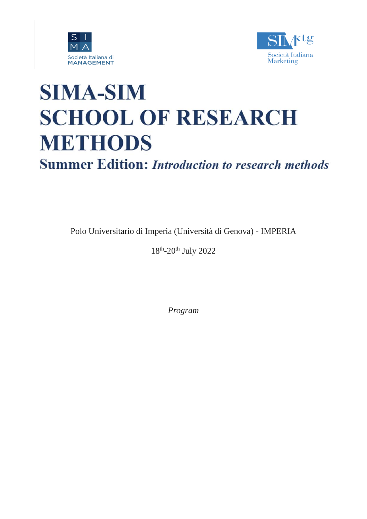



# **SIMA-SIM SCHOOL OF RESEARCH METHODS**

**Summer Edition: Introduction to research methods** 

Polo Universitario di Imperia (Università di Genova) - IMPERIA

18<sup>th</sup>-20<sup>th</sup> July 2022

*Program*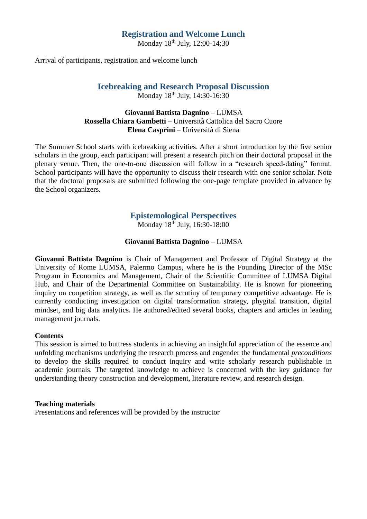#### **Registration and Welcome Lunch**

Monday 18<sup>th</sup> July, 12:00-14:30

Arrival of participants, registration and welcome lunch

# **Icebreaking and Research Proposal Discussion**

Monday 18<sup>th</sup> July, 14:30-16:30

#### **Giovanni Battista Dagnino** – LUMSA **Rossella Chiara Gambetti** – Università Cattolica del Sacro Cuore **Elena Casprini** – Università di Siena

The Summer School starts with icebreaking activities. After a short introduction by the five senior scholars in the group, each participant will present a research pitch on their doctoral proposal in the plenary venue. Then, the one-to-one discussion will follow in a "research speed-dating" format. School participants will have the opportunity to discuss their research with one senior scholar. Note that the doctoral proposals are submitted following the one-page template provided in advance by the School organizers.

# **Epistemological Perspectives**

Monday  $18^{th}$  July,  $16:30-18:00$ 

#### **Giovanni Battista Dagnino** – LUMSA

**Giovanni Battista Dagnino** is Chair of Management and Professor of Digital Strategy at the University of Rome LUMSA, Palermo Campus, where he is the Founding Director of the MSc Program in Economics and Management, Chair of the Scientific Committee of LUMSA Digital Hub, and Chair of the Departmental Committee on Sustainability. He is known for pioneering inquiry on coopetition strategy, as well as the scrutiny of temporary competitive advantage. He is currently conducting investigation on digital transformation strategy, phygital transition, digital mindset, and big data analytics**.** He authored/edited several books, chapters and articles in leading management journals.

#### **Contents**

This session is aimed to buttress students in achieving an insightful appreciation of the essence and unfolding mechanisms underlying the research process and engender the fundamental *preconditions* to develop the skills required to conduct inquiry and write scholarly research publishable in academic journals. The targeted knowledge to achieve is concerned with the key guidance for understanding theory construction and development, literature review, and research design.

#### **Teaching materials**

Presentations and references will be provided by the instructor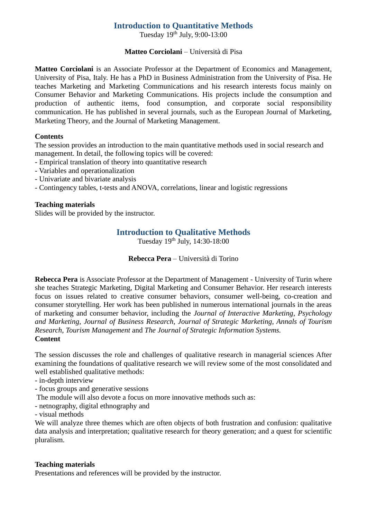# **Introduction to Quantitative Methods**

Tuesday  $19^{th}$  July, 9:00-13:00

# **Matteo Corciolani** – Università di Pisa

**Matteo Corciolani** is an Associate Professor at the Department of Economics and Management, University of Pisa, Italy. He has a PhD in Business Administration from the University of Pisa. He teaches Marketing and Marketing Communications and his research interests focus mainly on Consumer Behavior and Marketing Communications. His projects include the consumption and production of authentic items, food consumption, and corporate social responsibility communication. He has published in several journals, such as the European Journal of Marketing, Marketing Theory, and the Journal of Marketing Management.

# **Contents**

The session provides an introduction to the main quantitative methods used in social research and management. In detail, the following topics will be covered:

- Empirical translation of theory into quantitative research
- Variables and operationalization
- Univariate and bivariate analysis
- Contingency tables, t-tests and ANOVA, correlations, linear and logistic regressions

# **Teaching materials**

Slides will be provided by the instructor.

# **Introduction to Qualitative Methods**

Tuesday 19th July, 14:30-18:00

# **Rebecca Pera** – Università di Torino

**Rebecca Pera** is Associate Professor at the Department of Management - University of Turin where she teaches Strategic Marketing, Digital Marketing and Consumer Behavior. Her research interests focus on issues related to creative consumer behaviors, consumer well-being, co-creation and consumer storytelling. Her work has been published in numerous international journals in the areas of marketing and consumer behavior, including the *Journal of Interactive Marketing*, *Psychology and Marketing*, *Journal of Business Research*, *Journal of Strategic Marketing*, *Annals of Tourism Research*, *Tourism Management* and *The Journal of Strategic Information Systems.* **Content**

The session discusses the role and challenges of qualitative research in managerial sciences After examining the foundations of qualitative research we will review some of the most consolidated and well established qualitative methods:

- in-depth interview

- focus groups and generative sessions
- The module will also devote a focus on more innovative methods such as:
- netnography, digital ethnography and
- visual methods

We will analyze three themes which are often objects of both frustration and confusion: qualitative data analysis and interpretation; qualitative research for theory generation; and a quest for scientific pluralism.

### **Teaching materials**

Presentations and references will be provided by the instructor.